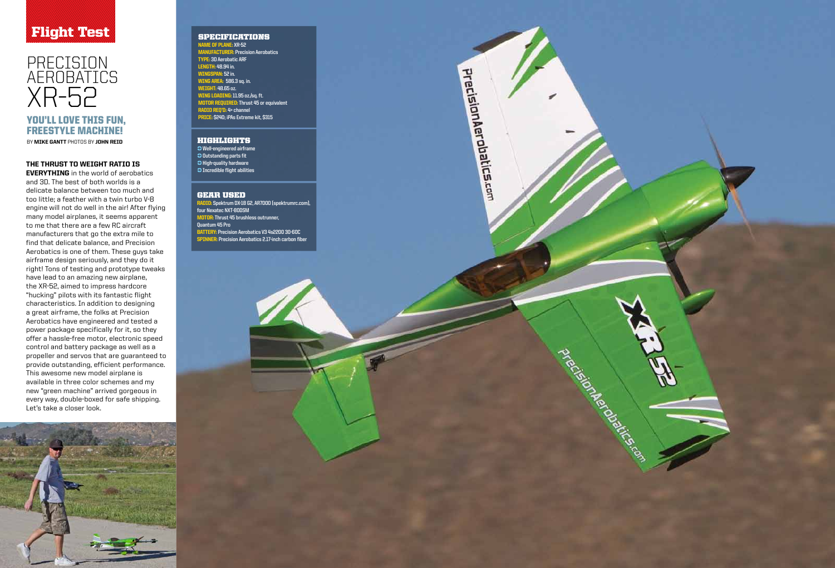## Flight Test SPECIFICATIONS

# PRECISION Aerob atics X R-52 YOU'LL LOVE THIS FUN,



#### THE THRUST TO WEIGHT RATIO IS t

**EVERYTHING** in the world of aerobatics and 3D. The best of both worlds is a delicate balance between too much and too little; a feather with a twin turbo V-8 engine will not do well in the air! After flying many model airplanes, it seems apparent to me that there are a few RC aircraft manufacturers that go the extra mile to find that delicate balance, and Precision Aerobatics is one of them. These guys take airframe design seriously, and they do it right! Tons of testing and prototype tweaks have lead to an amazing new airplane, the XR-52, aimed to impress hardcore "hucking" pilots with its fantastic flight characteristics. In addition to designing a great airframe, the folks at Precision Aerobatics have engineered and tested a power package specifically for it, so they offer a hassle-free motor, electronic speed control and battery package as well as a propeller and servos that are guaranteed to provide outstanding, efficient performance. This awesome new model airplane is available in three color schemes and my new "green machine" arrived gorgeous in every way, double-boxed for safe shipping. Let's take a closer look.



Name of pla ne: **XR-52 MA** <mark>:R</mark>: Precision Aerobatics Type: **3D Aerobatic ARF** Length: **48.94 in.** Wi ngspa n : **52 in.** Wi ng area: **586.3 sq. in.**  Weight: **48.65 oz.** Wi ng loadi ng: **11.95 oz./sq. ft.** Motor required: **Thrust 45 or equivalent** Radio req'd: **4+ channel CE: \$240; iPAs Extreme kit, \$315** 

Radio: **Spektrum DX-18 G2, AR7000 (spektrumrc.com), four Nexatec NXT-80DSM** Motor: **Thrust 45 brushless outrunner, Quantum 45 Pro**  Battery: **Precision Aerobatics V3 4s2200 30-60C ER:** Precision Aerobatics 2.17-inch carbon fiber



# freest yle machine!

BY MIKE GANTT PHOTOS BY JOHN REID

#### Highlights

-> **Well-engineered airframe <sup>2</sup>** Outstanding parts fit **<sup>2</sup>** High-quality hardware -> **Incredible flight abilities**

#### Gear Use d